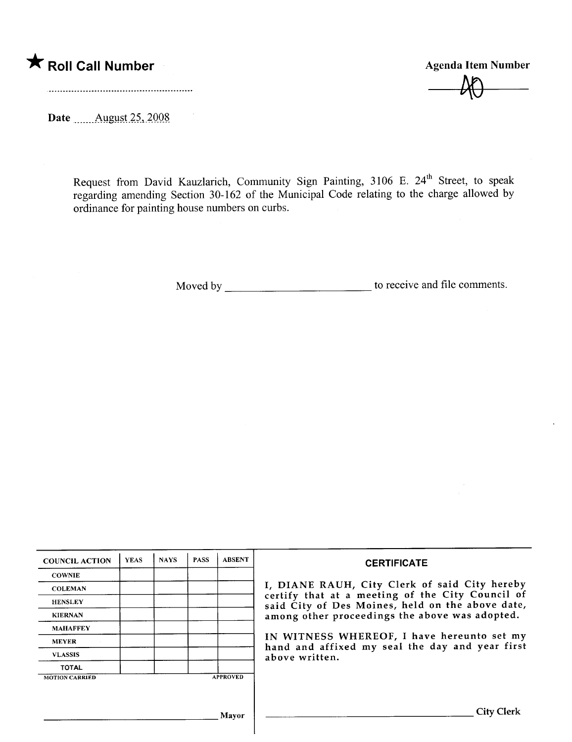

 $\nu$ 

Date \_\_\_\_\_\_\_ August 25, 2008

Request from David Kauzlarich, Community Sign Painting, 3106 E. 24" Street, to speak regarding amending Section 30-162 of the Municipal Code relating to the charge allowed by ordinance for painting house numbers on curbs.

Moved by to receive and file comments.

| <b>COUNCIL ACTION</b> | <b>YEAS</b> | <b>NAYS</b> | <b>PASS</b> | <b>ABSENT</b>   | <b>CERTIFICATE</b>                                                                                                                                                                                                                                                                                                         |
|-----------------------|-------------|-------------|-------------|-----------------|----------------------------------------------------------------------------------------------------------------------------------------------------------------------------------------------------------------------------------------------------------------------------------------------------------------------------|
| <b>COWNIE</b>         |             |             |             |                 |                                                                                                                                                                                                                                                                                                                            |
| <b>COLEMAN</b>        |             |             |             |                 | I, DIANE RAUH, City Clerk of said City hereby<br>certify that at a meeting of the City Council of<br>said City of Des Moines, held on the above date,<br>among other proceedings the above was adopted.<br>IN WITNESS WHEREOF, I have hereunto set my<br>hand and affixed my seal the day and year first<br>above written. |
| <b>HENSLEY</b>        |             |             |             |                 |                                                                                                                                                                                                                                                                                                                            |
| <b>KIERNAN</b>        |             |             |             |                 |                                                                                                                                                                                                                                                                                                                            |
| <b>MAHAFFEY</b>       |             |             |             |                 |                                                                                                                                                                                                                                                                                                                            |
| <b>MEYER</b>          |             |             |             |                 |                                                                                                                                                                                                                                                                                                                            |
| <b>VLASSIS</b>        |             |             |             |                 |                                                                                                                                                                                                                                                                                                                            |
| <b>TOTAL</b>          |             |             |             |                 |                                                                                                                                                                                                                                                                                                                            |
| <b>MOTION CARRIED</b> |             |             |             | <b>APPROVED</b> |                                                                                                                                                                                                                                                                                                                            |
|                       |             |             |             |                 |                                                                                                                                                                                                                                                                                                                            |
|                       | Mayor       |             |             |                 | City                                                                                                                                                                                                                                                                                                                       |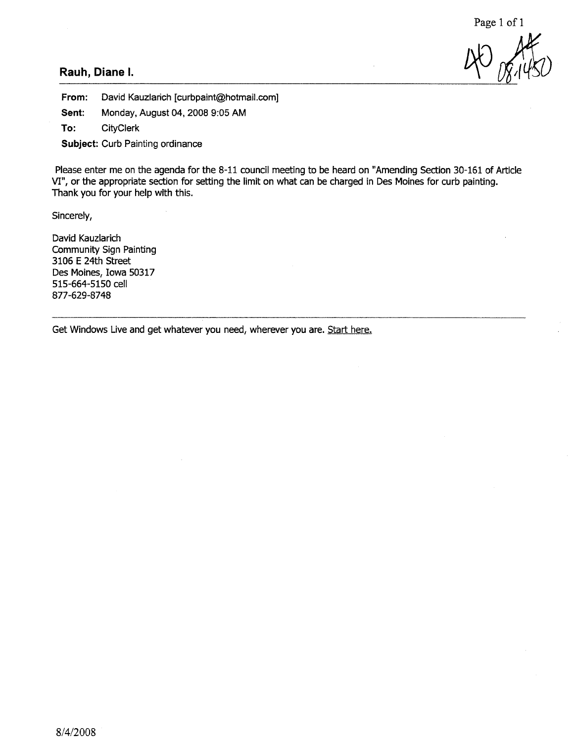40 08.1450

#### Rauh, Diane I.

From: David Kauzlarich [curbpaint@hotmail.com]

Sent: Monday, August 04, 2008 9:05 AM

To: CityClerk

Subject: Curb Painting ordinance

Please enter me on the agenda for the 8-11 council meeting to be heard on "Amending Section 30-161 of Article VI", or the appropriate section for setting the limit on what can be charged in Des Moines for curb painting. Thank you for your help with this.

Sincerely,

David Kauzlarich Community Sign Painting 3106 E 24th Street Des Moines, Iowa 50317 515-664-5150 cell 877-629-8748

Get Windows Live and get whatever you need, wherever you are. Start here.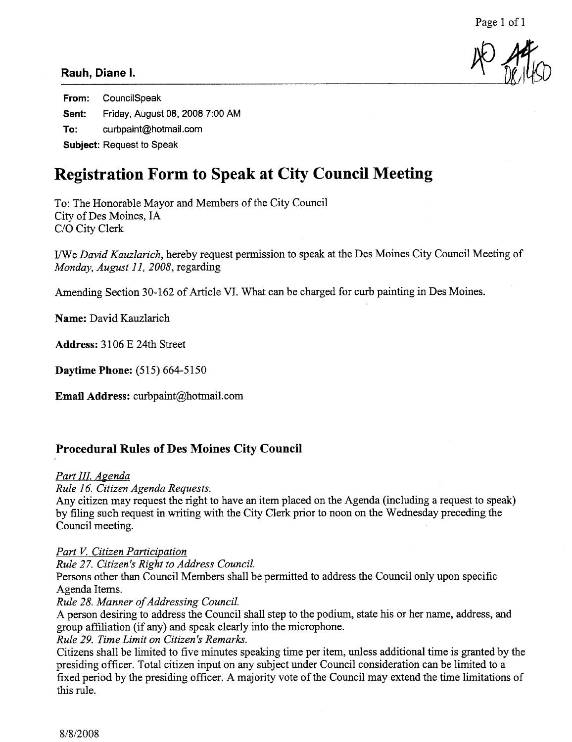# NO 24

### Rauh, Diane I.

From: CounciiSpeak Sent: Friday, August 08, 2008 7:00 AM To: curbpaint@hotmail.com Subject: Request to Speak

# Registration Form to Speak at City Council Meeting

To: The Honorable Mayor and Members of the City Council City of Des Moines, IA C/O City Clerk

I/We David Kauzlarich, hereby request permission to speak at the Des Moines City Council Meeting of Monday, August 11, 2008, regarding

Amending Section 30-162 of Article VI. What can be charged for curb painting in Des Moines.

Name: David Kauzlarich

Address: 3106 E 24th Street

Daytme Phone: (515) 664-5150

Email Address: curbpaint@hotmail.com

## Procedural Rules of Des Moines City Council

#### Part III. Agenda

Rule 16. Citizen Agenda Requests.

Any citizen may request the right to have an item placed on the Agenda (including a request to speak) by filing such request in writig with the City Clerk prior to noon on the Wednesday preceding the Council meeting.

#### Part V. Citizen Participation

Rule 27. Citizen 's Right to Address CounciL.

Persons other than Council Members shall be permitted to address the Council only upon specific Agenda Items.

#### Rule 28. Manner of Addressing Council.

A person desiring to address the Council shall step to the podium, state his or her name, address, and group affiliation (if any) and speak clearly into the microphone.

#### Rule 29. Time Limit on Citizen's Remarks.

Citizens shall be limited to five minutes speaking time per item, unless additional time is granted by the presiding officer. Total citizen input on any subject under Council consideration can be limited to a fixed period by the presiding officer. A majority vote of the Council may extend the time limitations of this rule.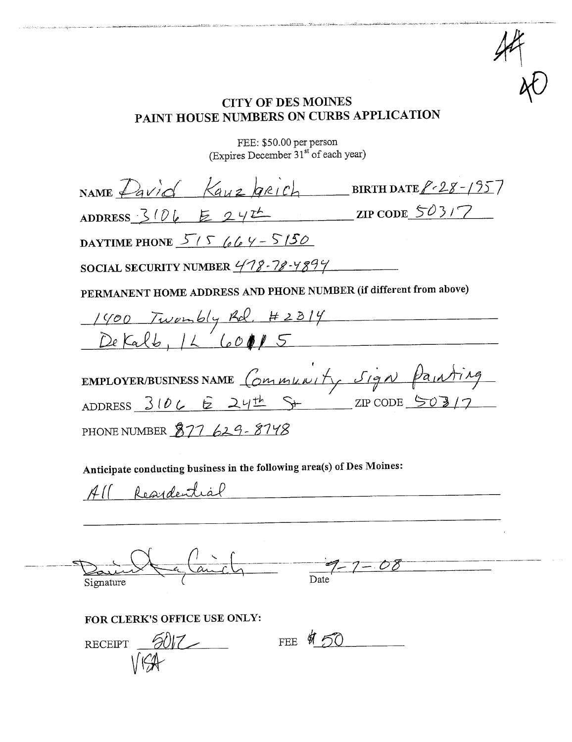## CITY OF DES MOINES PAINT HOUSE NUMBERS ON CURS APPLICATION

....'-,~,\_.\_\_~ \_~".\_ .,'~., ...\_\_\_\_.'.u. \_~., o;...~=""";,.==".--~:c-\_"""~\_"'-,,.:....,"".\_.~.\_\_ .\_C"'~.\_- ..' .- ""ç',",, ~...,..-~\_==.",~":;'';;:;;;;¡\_' '\_::~~.\_~.~:';.~- ~ ,;-~.-:;,. :;,. . "\_\_~""\_\_\_\_'~\_= .\_..\_--\_~=~~\_=\_....\_,\_~~,..=+\_-\_=\_.\_.~=...=...=\_ ....h",~. \_-='.\_\_=".,~ \_. . ---\_. \_.. -

#f

 $\gamma$ 

FEE: \$50.00 per person (Expires December 31 of each year)

| NAME $Pavid \;$ Kauz GRICH BIRTHDATE $P-28-1957$                                                       |  |  |  |  |  |
|--------------------------------------------------------------------------------------------------------|--|--|--|--|--|
| $\frac{\text{ZIP CODE}}{\text{ZIP CODE}}$<br>ADDRESS $3106$ $242$                                      |  |  |  |  |  |
| DAYTIME PHONE $5/5$ 664 - 5150                                                                         |  |  |  |  |  |
| SOCIAL SECURITY NUMBER $478 - 78 - 4894$                                                               |  |  |  |  |  |
| PERMANENT HOME ADDRESS AND PHONE NUMBER (if different from above)                                      |  |  |  |  |  |
|                                                                                                        |  |  |  |  |  |
| $1400$ Twombly Rd. #2314                                                                               |  |  |  |  |  |
| EMPLOYER/BUSINESS NAME Community Sign Painting<br>ADDRESS $3106$ & $24\frac{th}{5}$ S+ $24$ CODE 503/7 |  |  |  |  |  |
| PHONE NUMBER $377629 - 8748$                                                                           |  |  |  |  |  |
| Anticipate conducting business in the following area(s) of Des Moines:                                 |  |  |  |  |  |

All Reardential

--~~~\_bL- ----"'~7=' ÓÕ~--~~-~--- Signature ( i Date'

FOR CLERK'S OFFICE USE ONLY:

 $RECEPT$  <u> $6017$ </u> V  $V(G)$ FEE \$ 50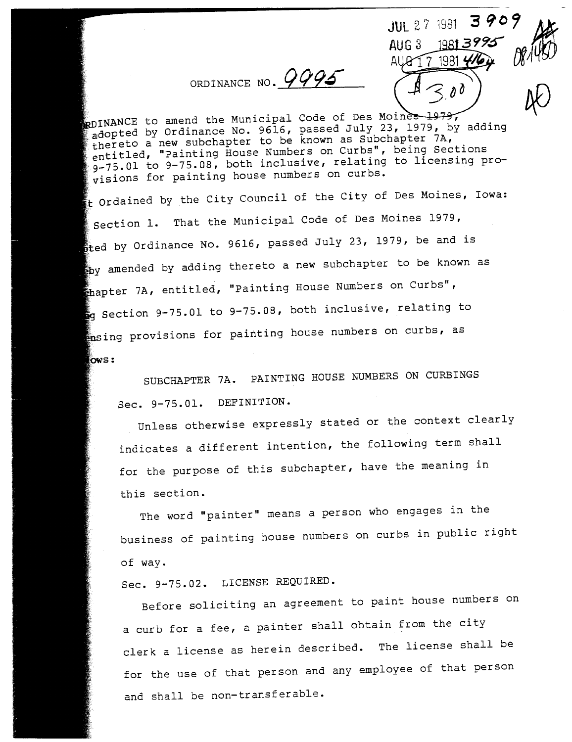ORDINANCE NO.  $9995$  $AUG3$  1981 3995 AP AUG 17 1981

JUL 27 1981 3909

 $\mu$ 

**R**DINANCE to amend the Municipal Code of Des Moines 1979,<br>adopted by Ordinance No. 9616, passed July 23, 1979, by adding thereto a new subchapter to be known as Subchapter 7A, entitled, "Painting House Numbers on Curbs", being Sections entitled, "Painting House Numbers on Curbs", being sections.  $75.01$  to  $9-75.08$ , both inclusive, relating to licensing provisions for painting house numbers on curbs.

 $\bullet$  . Ordained by the City Council of the City of Des Moines, Iowa:  $\mathcal{L}$ That the Municipal Code of Des Moines 1979,  $\epsilon$ ted by Ordinance No. 9616, passed July 23, 1979, be and is angly amended by adding thereto a new subchapter to be known as  $\epsilon$ hapter 7A, entitled, "Painting House Numbers on Curbs", g Section 9-75.01 to 9-75.08, both inclusive, relating to  $p$  provisions for painting house numbers on curbs, as  $_{\text{Iows}}$ :

SUBCHAPTER 7A. PAINTING HOUSE NUMBERS ON CURBINGS Sec. 9-75.01. DEFINITION.

Unless otherwise expressly stated or the context clearly indicates a different intention, the following term shall for the purpose of this subchapter, have the meaning in this section.

The word "painter" means a person who engages in the business of painting house numbers on curbs in public right of way.

Sec. 9-75.02. LICENSE REQUIRED.

Before soliciting an agreement to paint house numbers on a curb for a fee, a painter shall obtain from the city clerk a license as herein described. The license shall be for the use of that person and any employee of that person and shall be non-transferable.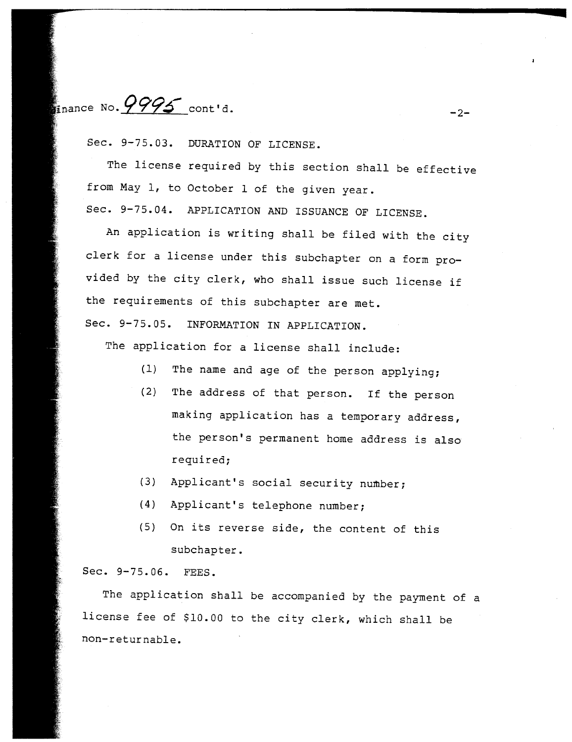$\frac{1}{2}$  inance No.  $\frac{9995}{2}$  cont'd.

Sec. 9-75.03. DURATION OF LICENSE.

The license required by this section shall be effective from May 1, to October 1 of the given year. Sec. 9-75.04. APPLICATION AND ISSUANCE OF LICENSE.

An application is writing shall be filed with the city clerk for a license under this subchapter on a form provided by the city clerk, who shall issue such license if the requirements of this subchapter are met.

Sec. 9-75.05. INFORMATION IN APPLICATION.

The application for a license shall include:

- (1) The name and age of the person applying;
- (2) The address of that person. If the person making application has a temporary address, the person's permanent home address is also required;
- (3) Applicant's social security number;
- (4) Applicant's telephone number;
- $(5)$  On its reverse side, the content of this subchapter.

Sec. 9-75. 06. FEES.

The application shall be accompanied by the payment of a license fee of \$10.00 to the city clerk, which shall be non-returnable.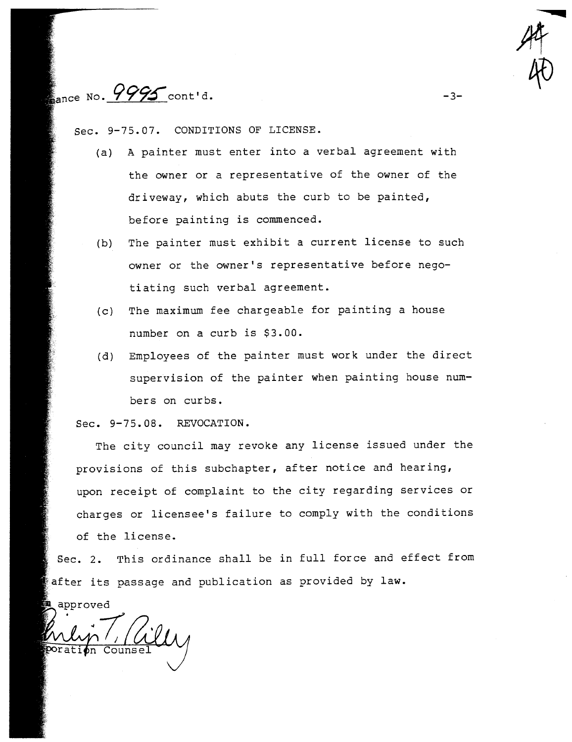nance No. 9995 cont'd.

Sec. 9-75.07. CONDITIONS OF LICENSE.

(a) A painter must enter into a verbal agreement with the owner or a representative of the owner of the driveway, which abuts the curb to be painted, before painting is commenced.

-

 $\mathscr{M}_{\mathcal{I}}$ 

40

 $-3-$ 

- (b) The painter must exhibit a current license to such owner or the owner's representative before negoti ating such verbal agreement.
- (c) The maximum fee chargeable for painting a house number on a curb is \$3.00.
- (d) Employees of the painter must work under the direct supervision of the painter when painting house numbers on curbs.

Sec. 9-75.08. REVOCATION.

The city council may revoke any license issued under the provisions of this subchapter, after notice and hearing, upon receipt of complaint to the city regarding services or charges or licensee's failure to comply with the conditions of the license.

Sec. 2. This ordinance shall be in full force and effect from after its passage and publication as provided by law.

approved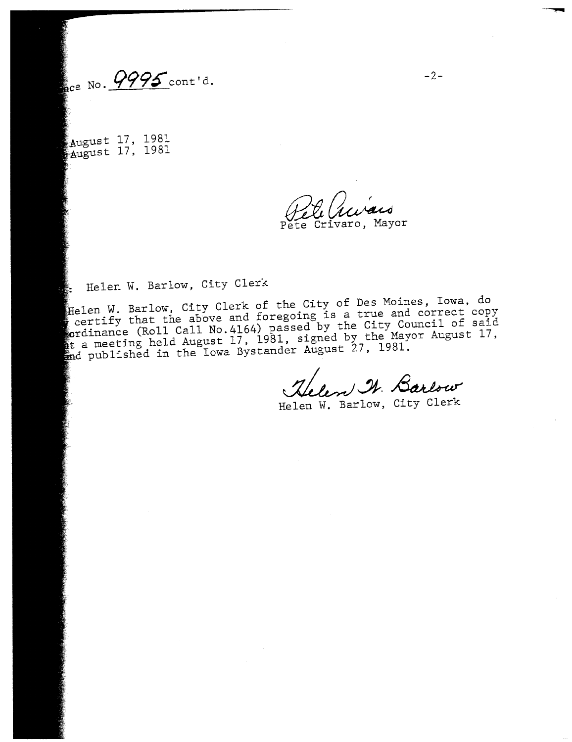$_{\text{acc No.}}$   $\frac{9995}{ }$  cont 'd.

August 17, 1981 August 17, 1981

Pete Crivaro, Mayor

Helen W. Barlow, City Clerk

Helen W. Barlow, City Clerk of the City of Des Moines, Iowa, do certify that the above and foregoing  $25 - 0$  the City Council of said rdinance ( $R$ oll Call No. 4164) passed by the Mayor August 17, It a meeting held August 17, 1981, Signed 17, 1981.<br>Ind published in the Iowa Bystander August 27, 1981.

Helen I. Barlow

Helen W. Barlow, City Clerk

-..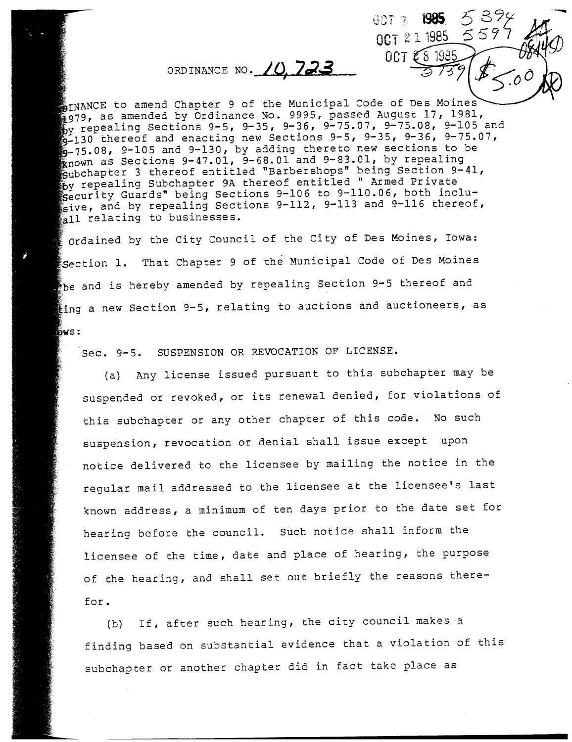# ORDINANCE NO. 10, 723

INANCE to amend Chapter 9 of the Municipal Code of Des Moines<br>1979, as amended by Ordinance No. 9995, passed August 17, 1981,  $\frac{1}{20}$ y repealing Sections 9-5, 9-35, 9-36, 9-75.07, 9-75.08, 9-105 and  $^{59}_{59}$  repealing Sections 9-5, 9-35, 9-36, 9-35, 9-36, 9-75.07.  $-130$  thereof and enacting new Sections 9-5, 9-35, 9-36, 9-75.07,  $6-75.08$ , 9-105 and 9-130, by adding thereto new sections to be  $\frac{1}{2}$  nown as Sections 9-47.01, 9-68.01 and 9-83.01, by repealing subchapter 3 thereof entitled "Barbershops" being Section 9-41, by repealing Subchapter 9A thereof entitled " Armed Private Security Guards" being Sections 9-106 to 9-110.06, both inclu- $\frac{1}{2}$ sive, and by repealing Sections 9-112, 9-113 and 9-116 thereof, all relating to businesses.

OCT 7 1985

0CT 2 1 1985

OCT  $\mathcal{E}$ 8 1985

'~

39

 $\bullet$  Ordained by the City Council of the City of Des Moines, Iowa: Section 1. That Chapter 9 of the Municipal Code of Des Moines  $\bullet$  be and is hereby amended by repealing Section 9-5 thereof and  $\epsilon$ ing a new Section 9-5, relating to auctions and auctioneers, as bws:

Sec. 9-5. SUSPENSION OR REVOCATION OF LICENSE.

(a) Any license issued pursuant to this subchapter may be suspended or revoked, or its renewal denied, for violations of this subchapter or any other chapter of this code. No such suspension, revocation or denial shall issue except upon notice delivered to the licensee by mailing the notice in the regular mail addressed to the licensee at the licensee's last known address, a minimum of ten days prior to the date set for hearing before the council. Such notice shall inform the licensee of the time, date and place of hearing, the purpose of the hearing, and shall set out briefly the reasons therefor.

(b) If, after such hearing, the city council makes a finding based on substantial evidence that a violation of this subchapter or another chapter did in fact take place as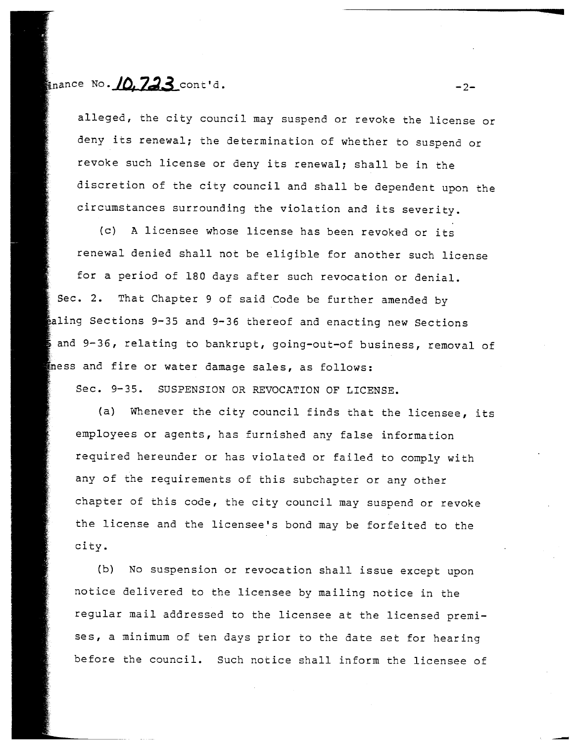## $\epsilon$ <sub>nance</sub> No. 10.723 cont'd.  $\epsilon$

alleged, the city council may suspend or revoke the license or deny its renewal; the determination of whe ther to suspend or revoke such license or deny its renewal; shall be in the discretion of the city council and shall be dependent upon the circumstances surrounding the violation and its severity.

(c) A licensee whose license has been revoked or its renewal denied shall not be eligible for another such license for a period of 180 days after such revocation or denial. Sec. 2. That Chapter 9 of said Code be further amended by aling Sections 9-35 and 9-36 thereof and enacting new Sections and 9-36, relating to bankrupt, going-out-of business, removal of ness and fire or water damage sales, as follows:

Sec. 9-35. SUSPENSION OR REVOCATION OF LICENSE.

(a) Whenever the city council finds that the licensee, its employees or agents, has furnished any false information required hereunder or has violated or failed to comply with any of the requirements of this subchapter or any other chapter of this code, the city council may suspend or revoke the license and the licensee's bond may be forfeited to the city.

(b) No suspension or revocation shall issue except upon notice delivered to the licensee by mailing notice in the regular mail addressed to the licensee at the licensed premises, a minimum of ten days prior to the date set for hearing before the council. Such notice shall inform the licensee of

-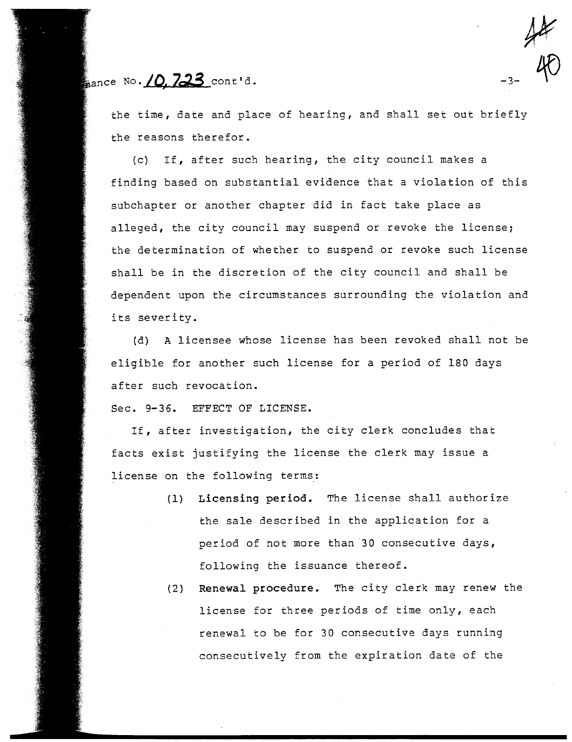$_{\text{aance No.}}$  /0.723 cont'd.

the time, date and place of hearing, and shall set out briefly the reasons therefor.

 $#$ 

 $-3-40$ 

(c) If, after such hearing, the city council makes a finding based on substantial evidence that a violation of this subchapter or another chapter did in fact take place as alleged, the city council may suspend or revoke the license; the determination of whether to suspend or revoke such license shall be in the discretion of the city council and shall be dependent upon the circumstances surrounding the violation and its severity.

(d) A licensee whose license has been revoked shall not be eligible for another such license for a period of 180 days after such revocation.

Sec. 9-36. EFFECT OF LICENSE.

If, after investigation, the city clerk concludes that facts exist justifying the license the clerk may issue a license on the following terms:

- (1) Licensing period. The license shall authorize the sale described in the application for a period of not more than 30 consecutive days, following the issuance thereof.
- (2) Renewal procedure. The city clerk may renew the license for three periods of time only, each renewal to be for 30 consecutive days running consecutively from the expiration date of the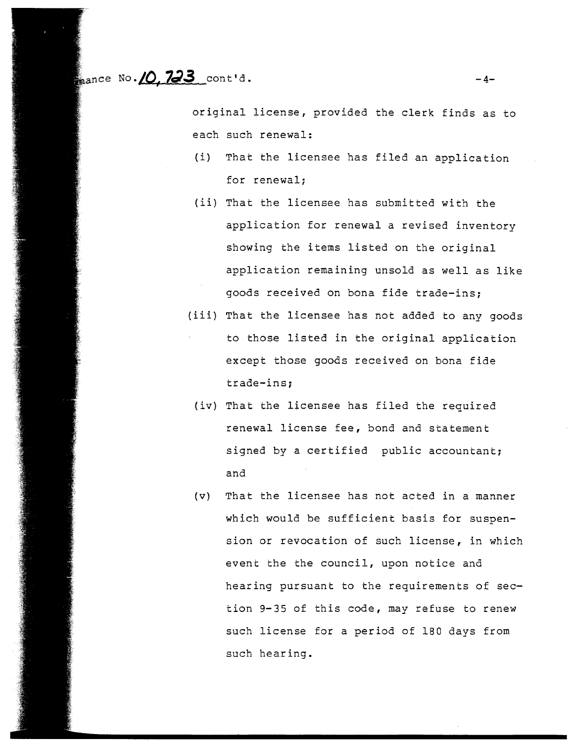$\frac{1}{2}$ ance No. 10, 723 cont d.  $-4-$ 

original license, provided the clerk finds as to each such renewal:

- (i) That the licensee has filed an application for renewal;
- (ii) That the licensee has submitted with the application for renewal a revised inventory showing the items listed on the original application remaining unsold as well as like goods received on bona fide trade-ins;
- (iii) That the licensee has not added to any goods to those listed in the original application except those goods received on bona fide trade-ins;
	- (iv) That the licensee has filed the required renewal license fee, bond and statement signed by a certified public accountant; and
- $(v)$  That the licensee has not acted in a manner which would be sufficient basis for suspension or revocation of such license, in which event the the council, upon notice and hearing pursuant to the requirements of section 9-35 of this code, may refuse to renew such license for a period of 180 days from such hear ing.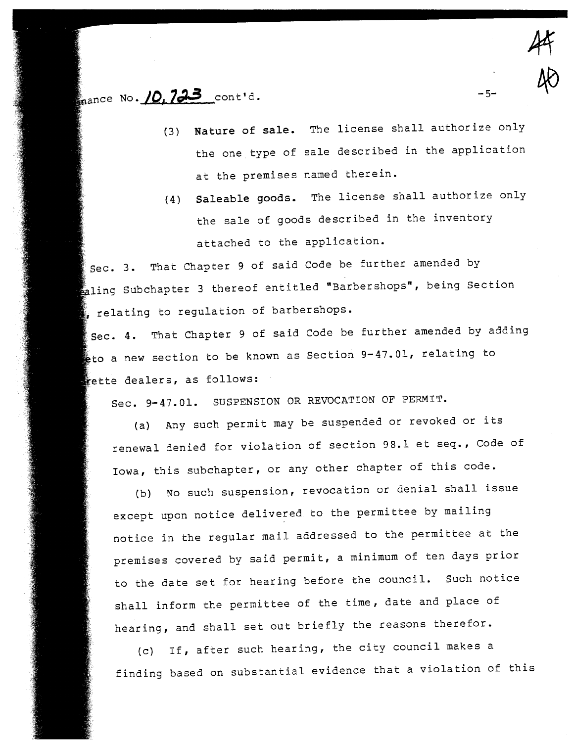## $\mathcal{L}_{\text{name}}$  No.  $10.733$  cont'd.

(3) Nature of sale. The license shall authorize only the one type of sale described in the application at the premises named therein.

 $4<sup>4</sup>$ 

40

 $-5-$ 

(4) Saleable goods. The license shall authorize only the sale of goods described in the inventory attached to the application.

Sec. 3. That Chapter 9 of said Code be further amended by  $\bullet$  aling Subchapter 3 thereof entitled "Barbershops", being Section relating to regulation of barbershops.

Sec. 4. That Chapter 9 of said Code be further amended by adding to a new section to be known as Section 9-47.01, relating to ette dealers, as follows:

Sec. 9-47.01. SUSPENSION OR REVOCATION OF PERMIT.

(a) Any such permit may be suspended or revoked or its renewal denied for violation of section 98.1 et seq., Code of Iowa, this subchapter, or any other chapter of this code.

(b) No such suspension, revocation or denial shall issue except upon notice delivered to the permittee by mailing notice in the regular mail addressed to the permittee at the premises covered by said permit, a minimum of ten days prior to the date set for hearing before the council. Such notice shall inform the permittee of the time, date and place of hearing, and shall set out briefly the reasons therefor.

(c) If, after such hearing, the city council makes a finding based on substantial evidence that a violation of this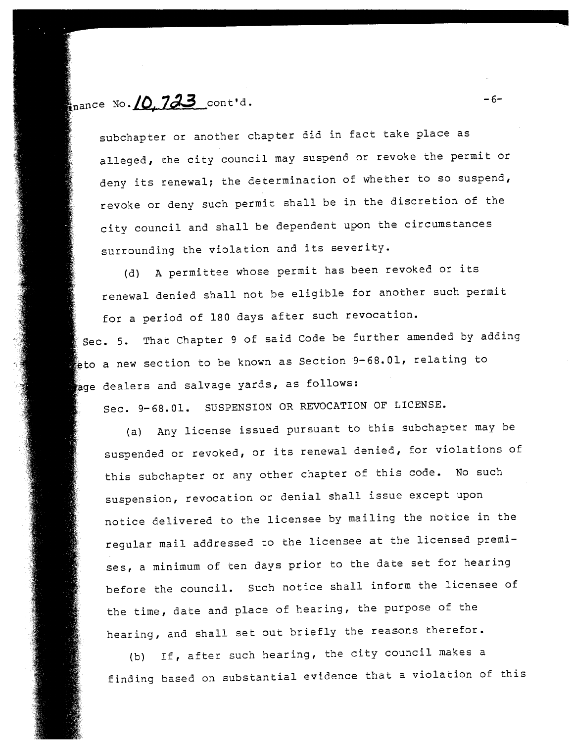$\mathbf{I}_{\text{nance No.}}\Omega$ . 723 cont'd.

subchapter or another chapter did in fact take place as alleged, the city council may suspend or revoke the permit or deny its renewal; the determination of whether to so suspend, revoke or deny such permit shall be in the discretion of the city council and shall be dependent upon the circumstances surrounding the violation and its severity.

(d) A permittee whose permit has been revoked or its renewal denied shall not be eligible for another such permit for a period of 180 days after such revocation.

Sec. 5. That Chapter 9 of said Code be further amended by adding eto a new section to be known as Section  $9-68.01$ , relating to age dealers and salvage yards, as follows:

Sec. 9- 68.01. SUSPENSION OR REVOCATION OF LICENSE.

(a) Any license issued pursuant to this subchapter may be suspended or revoked, or its renewal denied, for violations of this subchapter or any other chapter of this code. No such suspension, revocation or denial shall issue except upon notice delivered to the licensee by mailing the notice in the regular mail addressed to the licensee at the licensed premises, a minimum of ten days prior to the date set for hearing before the council. Such notice shall inform the licensee of the time, date and place of hearing, the purpose of the hearing, and shall set out briefly the reasons therefor.

(b) If, after such hearing, the city council makes a finding based on substantial evidence that a violation of this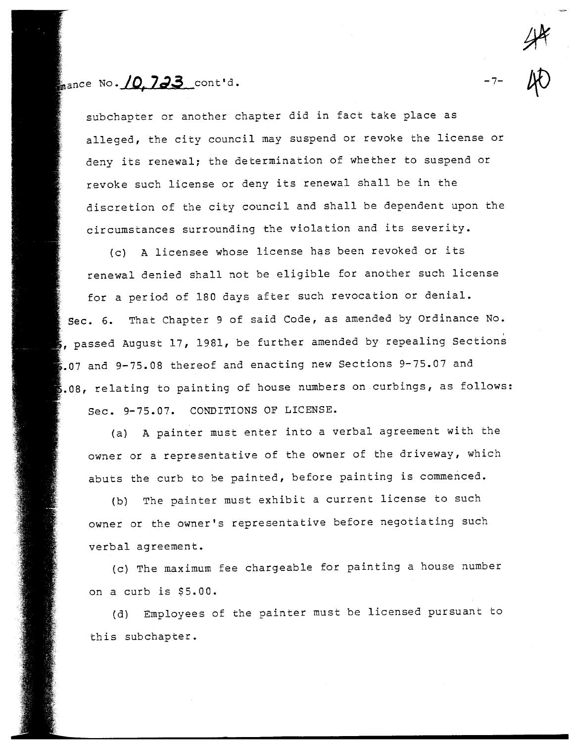mance No.  $10.733$  cont'd.

subchapter or another chapter did in fact take place as alleged, the city council may suspend or revoke the license or deny its renewal; the determination of whether to suspend or revoke such license or deny its renewal shall be in the discretion of the city council and shall be dependent upon the circumstances surrounding the violation and its severity.

(c) A licensee whose license has been revoked or its renewal denied shall not be eligible for another such license for a period of 180 days after such revocation or denial. That Chapter 9 of said Code, as amended by Ordinance No.  $sec. 6.$  $\mathbf s$ , passed August 17, 1981, be further amended by repealing Sections  $5.07$  and 9-75.08 thereof and enacting new Sections 9-75.07 and  $s.08$ , relating to painting of house numbers on curbings, as follows: Sec. 9-75.07. CONDITIONS OF LICENSE.

(a) A painter must enter into a verbal agreement with the owner or a representative of the owner of the driveway, which abuts the curb to be painted, before painting is commenced.

(b) The painter must exhibit a current license to such owner or the owner's representative before negotiating such verbal agreement.

(c) The maximum fee chargeable for painting a house number on a curb is \$5.00.

(d) Employees of the painter must be licensed pursuant to this subchapter.

40

-7-

 $44$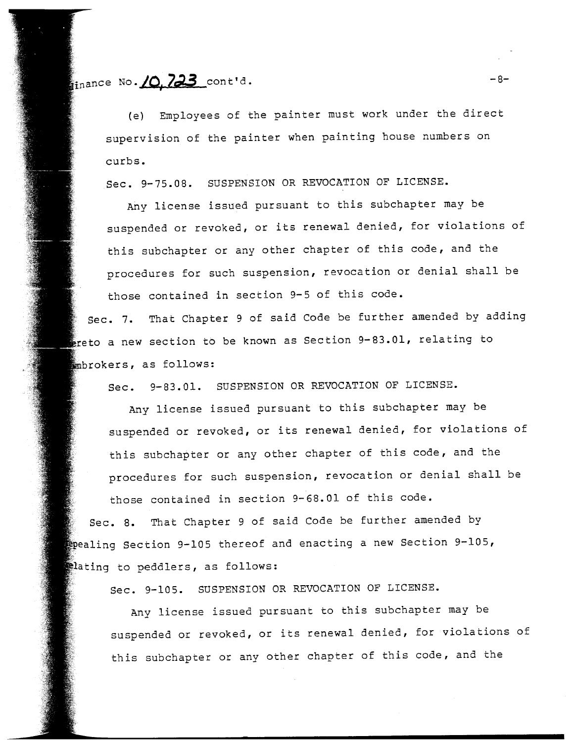$\frac{1}{\sin \arccos 100}$   $\frac{10}{23}$  cont'd.  $-8-$ 

(e) Employees of the painter must work under the direct supervision of the painter when painting house numbers on curbs.

Sec. 9-75.08. SUSPENSION OR REVOCATION OF LICENSE.

Any license issued pursuant to this subchapter may be suspended or revoked, or its renewal denied, for violations of this subchapter or any other chapter of this code, and the procedures for such suspension, revocation or denial shall be those contained in section 9-5 of this code.

Sec. 7. That Chapter 9 of said Code be further amended by adding ereto a new section to be known as Section 9-83.01, relating to mbrokers, as follows:

Sec. 9-83.01. SUSPENSION OR REVOCATION OF LICENSE.

Any license issued pursuant to this subchapter may be suspended or revoked, or its renewal denied, for violations of this subchapter or any other chapter of this code, and the procedures for such suspension, revocation or denial shall be

those contained in section 9-68.01 of this code. Sec. 8. That Chapter 9 of said Code be further amended by Epealing Section 9-105 thereof and enacting a new Section 9-105, thating to peddlers, as follows:

Sec. 9-105. SUSPENSION OR REVOCATION OF LICENSE.

Any license issued pursuant to this subchapter may be suspended or revoked, or its renewal denied, for violations of this subchapter or any other chapter of this code, and the